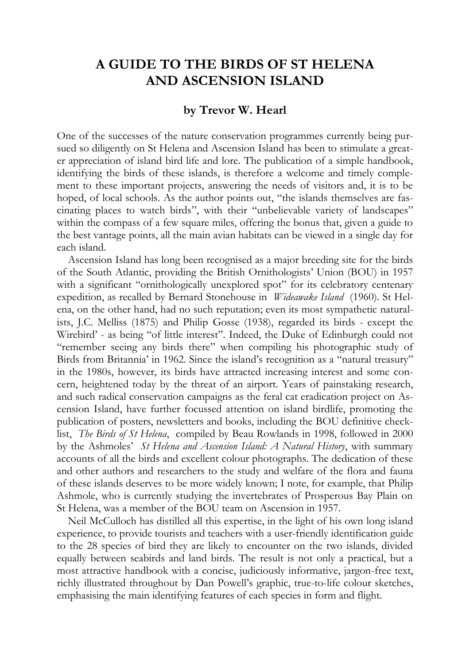## **A GUIDE TO THE BIRDS OF ST HELENA AND ASCENSION ISLAND**

## **by Trevor W. Hearl**

One of the successes of the nature conservation programmes currently being pursued so diligently on St Helena and Ascension Island has been to stimulate a greater appreciation of island bird life and lore. The publication of a simple handbook, identifying the birds of these islands, is therefore a welcome and timely complement to these important projects, answering the needs of visitors and, it is to be hoped, of local schools. As the author points out, "the islands themselves are fascinating places to watch birds", with their "unbelievable variety of landscapes" within the compass of a few square miles, offering the bonus that, given a guide to the best vantage points, all the main avian habitats can be viewed in a single day for each island.

Ascension Island has long been recognised as a major breeding site for the birds of the South Atlantic, providing the British Ornithologists' Union (BOU) in 1957 with a significant "ornithologically unexplored spot" for its celebratory centenary expedition, as recalled by Bernard Stonehouse in *Wideawake Island* (1960). St Helena, on the other hand, had no such reputation; even its most sympathetic naturalists, J.C. Melliss (1875) and Philip Gosse (1938), regarded its birds - except the Wirebird' - as being "of little interest". Indeed, the Duke of Edinburgh could not "remember seeing any birds there" when compiling his photographic study of Birds from Britannia' in 1962. Since the island's recognition as a "natural treasury" in the 1980s, however, its birds have attracted increasing interest and some concern, heightened today by the threat of an airport. Years of painstaking research, and such radical conservation campaigns as the feral cat eradication project on Ascension Island, have further focussed attention on island birdlife, promoting the publication of posters, newsletters and books, including the BOU definitive checklist, *The Birds of St Helena*, compiled by Beau Rowlands in 1998, followed in 2000 by the Ashmoles' *St Helena and Ascension Island: A Natural History*, with summary accounts of all the birds and excellent colour photographs. The dedication of these and other authors and researchers to the study and welfare of the flora and fauna of these islands deserves to be more widely known; I note, for example, that Philip Ashmole, who is currently studying the invertebrates of Prosperous Bay Plain on St Helena, was a member of the BOU team on Ascension in 1957.

Neil McCulloch has distilled all this expertise, in the light of his own long island experience, to provide tourists and teachers with a user-friendly identification guide to the 28 species of bird they are likely to encounter on the two islands, divided equally between seabirds and land birds. The result is not only a practical, but a most attractive handbook with a concise, judiciously informative, jargon-free text, richly illustrated throughout by Dan Powell's graphic, true-to-life colour sketches, emphasising the main identifying features of each species in form and flight.